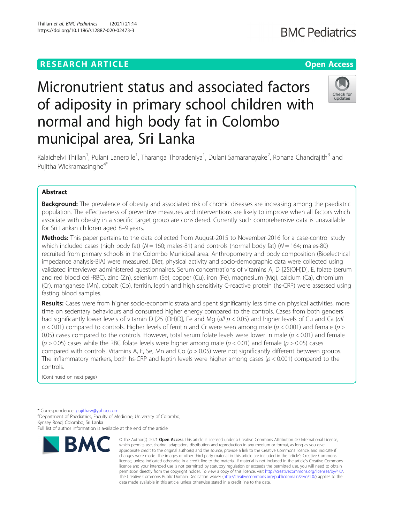Thillan et al. BMC Pediatrics (2021) 21:14 https://doi.org/10.1186/s12887-020-02473-3

# Micronutrient status and associated factors of adiposity in primary school children with normal and high body fat in Colombo municipal area, Sri Lanka



Kalaichelvi Thillan<sup>1</sup>, Pulani Lanerolle<sup>1</sup>, Tharanga Thoradeniya<sup>1</sup>, Dulani Samaranayake<sup>2</sup>, Rohana Chandrajith<sup>3</sup> and Pujitha Wickramasinghe<sup>4\*</sup>

# Abstract

**Background:** The prevalence of obesity and associated risk of chronic diseases are increasing among the paediatric population. The effectiveness of preventive measures and interventions are likely to improve when all factors which associate with obesity in a specific target group are considered. Currently such comprehensive data is unavailable for Sri Lankan children aged 8–9 years.

Methods: This paper pertains to the data collected from August-2015 to November-2016 for a case-control study which included cases (high body fat) ( $N = 160$ ; males-81) and controls (normal body fat) ( $N = 164$ ; males-80) recruited from primary schools in the Colombo Municipal area. Anthropometry and body composition (Bioelectrical impedance analysis-BIA) were measured. Diet, physical activity and socio-demographic data were collected using validated interviewer administered questionnaires. Serum concentrations of vitamins A, D [25(OH)D], E, folate (serum and red blood cell-RBC), zinc (Zn), selenium (Se), copper (Cu), iron (Fe), magnesium (Mg), calcium (Ca), chromium (Cr), manganese (Mn), cobalt (Co), ferritin, leptin and high sensitivity C-reactive protein (hs-CRP) were assessed using fasting blood samples.

Results: Cases were from higher socio-economic strata and spent significantly less time on physical activities, more time on sedentary behaviours and consumed higher energy compared to the controls. Cases from both genders had significantly lower levels of vitamin D [25 (OH)D], Fe and Mg (all  $p < 0.05$ ) and higher levels of Cu and Ca (all  $p$  < 0.01) compared to controls. Higher levels of ferritin and Cr were seen among male ( $p$  < 0.001) and female ( $p$  > 0.05) cases compared to the controls. However, total serum folate levels were lower in male  $(p < 0.01)$  and female  $(p > 0.05)$  cases while the RBC folate levels were higher among male  $(p < 0.01)$  and female  $(p > 0.05)$  cases compared with controls. Vitamins A, E, Se, Mn and Co  $(p > 0.05)$  were not significantly different between groups. The inflammatory markers, both hs-CRP and leptin levels were higher among cases ( $p < 0.001$ ) compared to the controls.

(Continued on next page)

\* Correspondence: [pujithaw@yahoo.com](mailto:pujithaw@yahoo.com) <sup>4</sup>

Department of Paediatrics, Faculty of Medicine, University of Colombo, Kynsey Road, Colombo, Sri Lanka

Full list of author information is available at the end of the article



<sup>©</sup> The Author(s), 2021 **Open Access** This article is licensed under a Creative Commons Attribution 4.0 International License, which permits use, sharing, adaptation, distribution and reproduction in any medium or format, as long as you give appropriate credit to the original author(s) and the source, provide a link to the Creative Commons licence, and indicate if changes were made. The images or other third party material in this article are included in the article's Creative Commons licence, unless indicated otherwise in a credit line to the material. If material is not included in the article's Creative Commons licence and your intended use is not permitted by statutory regulation or exceeds the permitted use, you will need to obtain permission directly from the copyright holder. To view a copy of this licence, visit [http://creativecommons.org/licenses/by/4.0/.](http://creativecommons.org/licenses/by/4.0/) The Creative Commons Public Domain Dedication waiver [\(http://creativecommons.org/publicdomain/zero/1.0/](http://creativecommons.org/publicdomain/zero/1.0/)) applies to the data made available in this article, unless otherwise stated in a credit line to the data.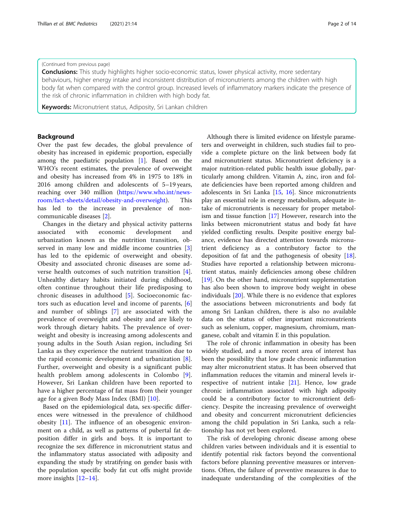#### (Continued from previous page)

**Conclusions:** This study highlights higher socio-economic status, lower physical activity, more sedentary behaviours, higher energy intake and inconsistent distribution of micronutrients among the children with high body fat when compared with the control group. Increased levels of inflammatory markers indicate the presence of the risk of chronic inflammation in children with high body fat.

Keywords: Micronutrient status, Adiposity, Sri Lankan children

# Background

Over the past few decades, the global prevalence of obesity has increased in epidemic proportion, especially among the paediatric population [\[1](#page-11-0)]. Based on the WHO's recent estimates, the prevalence of overweight and obesity has increased from 4% in 1975 to 18% in 2016 among children and adolescents of 5–19 years, reaching over 340 million ([https://www.who.int/news](https://www.who.int/news-room/fact-sheets/detail/obesity-and-overweight)[room/fact-sheets/detail/obesity-and-overweight](https://www.who.int/news-room/fact-sheets/detail/obesity-and-overweight)). This has led to the increase in prevalence of noncommunicable diseases [\[2\]](#page-11-0).

Changes in the dietary and physical activity patterns associated with economic development and urbanization known as the nutrition transition, observed in many low and middle income countries [\[3](#page-11-0)] has led to the epidemic of overweight and obesity. Obesity and associated chronic diseases are some adverse health outcomes of such nutrition transition [\[4](#page-11-0)]. Unhealthy dietary habits initiated during childhood, often continue throughout their life predisposing to chronic diseases in adulthood [[5\]](#page-11-0). Socioeconomic factors such as education level and income of parents, [\[6](#page-11-0)] and number of siblings [[7\]](#page-11-0) are associated with the prevalence of overweight and obesity and are likely to work through dietary habits. The prevalence of overweight and obesity is increasing among adolescents and young adults in the South Asian region, including Sri Lanka as they experience the nutrient transition due to the rapid economic development and urbanization [\[8](#page-11-0)]. Further, overweight and obesity is a significant public health problem among adolescents in Colombo [\[9](#page-11-0)]. However, Sri Lankan children have been reported to have a higher percentage of fat mass from their younger age for a given Body Mass Index (BMI) [[10\]](#page-11-0).

Based on the epidemiological data, sex-specific differences were witnessed in the prevalence of childhood obesity [[11](#page-12-0)]. The influence of an obesogenic environment on a child, as well as patterns of pubertal fat deposition differ in girls and boys. It is important to recognize the sex difference in micronutrient status and the inflammatory status associated with adiposity and expanding the study by stratifying on gender basis with the population specific body fat cut offs might provide more insights [\[12](#page-12-0)–[14\]](#page-12-0).

Although there is limited evidence on lifestyle parameters and overweight in children, such studies fail to provide a complete picture on the link between body fat and micronutrient status. Micronutrient deficiency is a major nutrition-related public health issue globally, particularly among children. Vitamin A, zinc, iron and folate deficiencies have been reported among children and adolescents in Sri Lanka [[15,](#page-12-0) [16\]](#page-12-0). Since micronutrients play an essential role in energy metabolism, adequate intake of micronutrients is necessary for proper metabolism and tissue function [\[17](#page-12-0)] However, research into the links between micronutrient status and body fat have yielded conflicting results. Despite positive energy balance, evidence has directed attention towards micronutrient deficiency as a contributory factor to the deposition of fat and the pathogenesis of obesity [\[18](#page-12-0)]. Studies have reported a relationship between micronutrient status, mainly deficiencies among obese children [[19\]](#page-12-0). On the other hand, micronutrient supplementation has also been shown to improve body weight in obese individuals [[20\]](#page-12-0). While there is no evidence that explores the associations between micronutrients and body fat among Sri Lankan children, there is also no available data on the status of other important micronutrients such as selenium, copper, magnesium, chromium, manganese, cobalt and vitamin E in this population.

The role of chronic inflammation in obesity has been widely studied, and a more recent area of interest has been the possibility that low grade chronic inflammation may alter micronutrient status. It has been observed that inflammation reduces the vitamin and mineral levels irrespective of nutrient intake [\[21](#page-12-0)]. Hence, low grade chronic inflammation associated with high adiposity could be a contributory factor to micronutrient deficiency. Despite the increasing prevalence of overweight and obesity and concurrent micronutrient deficiencies among the child population in Sri Lanka, such a relationship has not yet been explored.

The risk of developing chronic disease among obese children varies between individuals and it is essential to identify potential risk factors beyond the conventional factors before planning preventive measures or interventions. Often, the failure of preventive measures is due to inadequate understanding of the complexities of the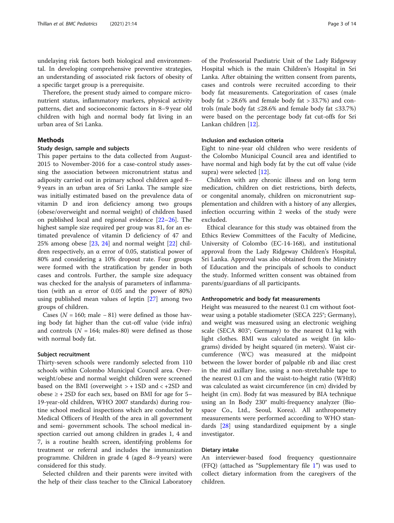undelaying risk factors both biological and environmental. In developing comprehensive preventive strategies, an understanding of associated risk factors of obesity of a specific target group is a prerequisite.

Therefore, the present study aimed to compare micronutrient status, inflammatory markers, physical activity patterns, diet and socioeconomic factors in 8–9 year old children with high and normal body fat living in an urban area of Sri Lanka.

# **Methods**

#### Study design, sample and subjects

This paper pertains to the data collected from August-2015 to November-2016 for a case-control study assessing the association between micronutrient status and adiposity carried out in primary school children aged 8– 9 years in an urban area of Sri Lanka. The sample size was initially estimated based on the prevalence data of vitamin D and iron deficiency among two groups (obese/overweight and normal weight) of children based on published local and regional evidence [[22](#page-12-0)–[26](#page-12-0)]. The highest sample size required per group was 81, for an estimated prevalence of vitamin D deficiency of 47 and 25% among obese [[23,](#page-12-0) [24](#page-12-0)] and normal weight [[22](#page-12-0)] children respectively, an  $\alpha$  error of 0.05, statistical power of 80% and considering a 10% dropout rate. Four groups were formed with the stratification by gender in both cases and controls. Further, the sample size adequacy was checked for the analysis of parameters of inflammation (with an α error of 0.05 and the power of 80%) using published mean values of leptin [[27\]](#page-12-0) among two groups of children.

Cases ( $N = 160$ ; male − 81) were defined as those having body fat higher than the cut-off value (vide infra) and controls ( $N = 164$ ; males-80) were defined as those with normal body fat.

#### Subject recruitment

Thirty-seven schools were randomly selected from 110 schools within Colombo Municipal Council area. Overweight/obese and normal weight children were screened based on the BMI (overweight  $> + 1SD$  and  $< +2SD$  and obese ≥ + 2SD for each sex, based on BMI for age for 5– 19-year-old children, WHO 2007 standards) during routine school medical inspections which are conducted by Medical Officers of Health of the area in all government and semi- government schools. The school medical inspection carried out among children in grades 1, 4 and 7, is a routine health screen, identifying problems for treatment or referral and includes the immunization programme. Children in grade 4 (aged 8–9 years) were considered for this study.

Selected children and their parents were invited with the help of their class teacher to the Clinical Laboratory

of the Professorial Paediatric Unit of the Lady Ridgeway Hospital which is the main Children's Hospital in Sri Lanka. After obtaining the written consent from parents, cases and controls were recruited according to their body fat measurements. Categorization of cases (male body fat  $> 28.6\%$  and female body fat  $> 33.7\%$ ) and controls (male body fat ≤28.6% and female body fat ≤33.7%) were based on the percentage body fat cut-offs for Sri Lankan children [\[12](#page-12-0)].

# Inclusion and exclusion criteria

Eight to nine-year old children who were residents of the Colombo Municipal Council area and identified to have normal and high body fat by the cut off value (vide supra) were selected [[12\]](#page-12-0).

Children with any chronic illness and on long term medication, children on diet restrictions, birth defects, or congenital anomaly, children on micronutrient supplementation and children with a history of any allergies, infection occurring within 2 weeks of the study were excluded.

Ethical clearance for this study was obtained from the Ethics Review Committees of the Faculty of Medicine, University of Colombo (EC-14-168), and institutional approval from the Lady Ridgeway Children's Hospital, Sri Lanka. Approval was also obtained from the Ministry of Education and the principals of schools to conduct the study. Informed written consent was obtained from parents/guardians of all participants.

# Anthropometric and body fat measurements

Height was measured to the nearest 0.1 cm without footwear using a potable stadiometer (SECA 225®; Germany), and weight was measured using an electronic weighing scale (SECA 803®; Germany) to the nearest 0.1 kg with light clothes. BMI was calculated as weight (in kilograms) divided by height squared (in meters). Waist circumference (WC) was measured at the midpoint between the lower border of palpable rib and iliac crest in the mid axillary line, using a non-stretchable tape to the nearest 0.1 cm and the waist-to-height ratio (WHtR) was calculated as waist circumference (in cm) divided by height (in cm). Body fat was measured by BIA technique using an In Body 230® multi-frequency analyzer (Biospace Co., Ltd., Seoul, Korea). All anthropometry measurements were performed according to WHO standards [[28\]](#page-12-0) using standardized equipment by a single investigator.

# Dietary intake

An interviewer-based food frequency questionnaire (FFQ) (attached as "Supplementary file [1](#page-11-0)") was used to collect dietary information from the caregivers of the children.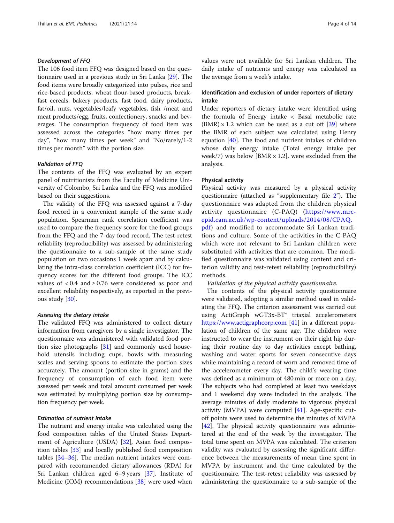# Development of FFQ

The 106 food item FFQ was designed based on the questionnaire used in a previous study in Sri Lanka [\[29\]](#page-12-0). The food items were broadly categorized into pulses, rice and rice-based products, wheat flour-based products, breakfast cereals, bakery products, fast food, dairy products, fat/oil, nuts, vegetables/leafy vegetables, fish /meat and meat products/egg, fruits, confectionery, snacks and beverages. The consumption frequency of food item was assessed across the categories "how many times per day", "how many times per week" and "No/rarely/1-2 times per month" with the portion size.

#### Validation of FFQ

The contents of the FFQ was evaluated by an expert panel of nutritionists from the Faculty of Medicine University of Colombo, Sri Lanka and the FFQ was modified based on their suggestions.

The validity of the FFQ was assessed against a 7-day food record in a convenient sample of the same study population. Spearman rank correlation coefficient was used to compare the frequency score for the food groups from the FFQ and the 7-day food record. The test-retest reliability (reproducibility) was assessed by administering the questionnaire to a sub-sample of the same study population on two occasions 1 week apart and by calculating the intra-class correlation coefficient (ICC) for frequency scores for the different food groups. The ICC values of  $< 0.4$  and  $\ge 0.76$  were considered as poor and excellent reliability respectively, as reported in the previous study [[30\]](#page-12-0).

#### Assessing the dietary intake

The validated FFQ was administered to collect dietary information from caregivers by a single investigator. The questionnaire was administered with validated food portion size photographs [\[31](#page-12-0)] and commonly used household utensils including cups, bowls with measuring scales and serving spoons to estimate the portion sizes accurately. The amount (portion size in grams) and the frequency of consumption of each food item were assessed per week and total amount consumed per week was estimated by multiplying portion size by consumption frequency per week.

# Estimation of nutrient intake

The nutrient and energy intake was calculated using the food composition tables of the United States Department of Agriculture (USDA) [[32](#page-12-0)], Asian food composition tables [[33](#page-12-0)] and locally published food composition tables [\[34](#page-12-0)–[36\]](#page-12-0). The median nutrient intakes were compared with recommended dietary allowances (RDA) for Sri Lankan children aged 6–9 years [\[37](#page-12-0)]. Institute of Medicine (IOM) recommendations [[38](#page-12-0)] were used when values were not available for Sri Lankan children. The daily intake of nutrients and energy was calculated as the average from a week's intake.

# Identification and exclusion of under reporters of dietary intake

Under reporters of dietary intake were identified using the formula of Energy intake < Basal metabolic rate  $(BMR) \times 1.2$  which can be used as a cut off [[39\]](#page-12-0) where the BMR of each subject was calculated using Henry equation [[40\]](#page-12-0). The food and nutrient intakes of children whose daily energy intake (Total energy intake per week/7) was below [BMR  $\times$  1.2], were excluded from the analysis.

# Physical activity

Physical activity was measured by a physical activity questionnaire (attached as "supplementary file [2](#page-11-0)"). The questionnaire was adapted from the children physical activity questionnaire (C-PAQ) ([https://www.mrc](https://www.mrc-epid.cam.ac.uk/wp-content/uploads/2014/08/CPAQ.pdf)[epid.cam.ac.uk/wp-content/uploads/2014/08/CPAQ.](https://www.mrc-epid.cam.ac.uk/wp-content/uploads/2014/08/CPAQ.pdf) [pdf\)](https://www.mrc-epid.cam.ac.uk/wp-content/uploads/2014/08/CPAQ.pdf) and modified to accommodate Sri Lankan traditions and culture. Some of the activities in the C-PAQ which were not relevant to Sri Lankan children were substituted with activities that are common. The modified questionnaire was validated using content and criterion validity and test-retest reliability (reproducibility) methods.

Validation of the physical activity questionnaire.

The contents of the physical activity questionnaire were validated, adopting a similar method used in validating the FFQ. The criterion assessment was carried out using ActiGraph wGT3x-BT® triaxial accelerometers <https://www.actigraphcorp.com> [\[41\]](#page-12-0) in a different population of children of the same age. The children were instructed to wear the instrument on their right hip during their routine day to day activities except bathing, washing and water sports for seven consecutive days while maintaining a record of worn and removed time of the accelerometer every day. The child's wearing time was defined as a minimum of 480 min or more on a day. The subjects who had completed at least two weekdays and 1 weekend day were included in the analysis. The average minutes of daily moderate to vigorous physical activity (MVPA) were computed [[41\]](#page-12-0). Age-specific cutoff points were used to determine the minutes of MVPA [[42\]](#page-12-0). The physical activity questionnaire was administered at the end of the week by the investigator. The total time spent on MVPA was calculated. The criterion validity was evaluated by assessing the significant difference between the measurements of mean time spent in MVPA by instrument and the time calculated by the questionnaire. The test-retest reliability was assessed by administering the questionnaire to a sub-sample of the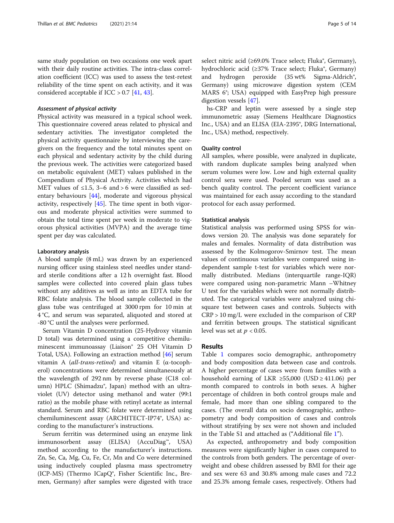same study population on two occasions one week apart with their daily routine activities. The intra-class correlation coefficient (ICC) was used to assess the test-retest reliability of the time spent on each activity, and it was considered acceptable if ICC > 0.7 [\[41](#page-12-0), [43](#page-12-0)].

# Assessment of physical activity

Physical activity was measured in a typical school week. This questionnaire covered areas related to physical and sedentary activities. The investigator completed the physical activity questionnaire by interviewing the caregivers on the frequency and the total minutes spent on each physical and sedentary activity by the child during the previous week. The activities were categorized based on metabolic equivalent (MET) values published in the Compendium of Physical Activity. Activities which had MET values of  $\leq 1.5$ , 3–6 and > 6 were classified as sedentary behaviours [[44\]](#page-12-0), moderate and vigorous physical activity, respectively [[45\]](#page-12-0). The time spent in both vigorous and moderate physical activities were summed to obtain the total time spent per week in moderate to vigorous physical activities (MVPA) and the average time spent per day was calculated.

#### Laboratory analysis

A blood sample (8 mL) was drawn by an experienced nursing officer using stainless steel needles under standard sterile conditions after a 12 h overnight fast. Blood samples were collected into covered plain glass tubes without any additives as well as into an EDTA tube for RBC folate analysis. The blood sample collected in the glass tube was centrifuged at 3000 rpm for 10 min at 4 °C, and serum was separated, aliquoted and stored at -80 °C until the analyses were performed.

Serum Vitamin D concentration (25-Hydroxy vitamin D total) was determined using a competitive chemiluminescent immunoassay (Liaison® 25 OH Vitamin D Total, USA). Following an extraction method [\[46\]](#page-12-0) serum vitamin A (all-trans-retinol) and vitamin E (α-tocopherol) concentrations were determined simultaneously at the wavelength of 292 nm by reverse phase (C18 column) HPLC (Shimadzu®, Japan) method with an ultraviolet (UV) detector using methanol and water (99:1 ratio) as the mobile phase with retinyl acetate as internal standard. Serum and RBC folate were determined using chemiluminescent assay (ARCHITECT-IP74®, USA) according to the manufacturer's instructions.

Serum ferritin was determined using an enzyme link immunosorbent assay (ELISA) (AccuDiag™, USA) method according to the manufacturer's instructions. Zn, Se, Ca, Mg, Cu, Fe, Cr, Mn and Co were determined using inductively coupled plasma mass spectrometry (ICP-MS) (Thermo ICapQ®, Fisher Scientific Inc., Bremen, Germany) after samples were digested with trace select nitric acid (≥69.0% Trace select; Fluka®, Germany), hydrochloric acid (≥37% Trace select; Fluka®, Germany) and hydrogen peroxide (35 wt% Sigma-Aldrich®, Germany) using microwave digestion system (CEM MARS 6®; USA) equipped with EasyPrep high pressure digestion vessels [[47\]](#page-12-0).

hs-CRP and leptin were assessed by a single step immunometric assay (Siemens Healthcare Diagnostics Inc., USA) and an ELISA (EIA-2395®, DRG International, Inc., USA) method, respectively.

#### Quality control

All samples, where possible, were analyzed in duplicate, with random duplicate samples being analyzed when serum volumes were low. Low and high external quality control sera were used. Pooled serum was used as a bench quality control. The percent coefficient variance was maintained for each assay according to the standard protocol for each assay performed.

# Statistical analysis

Statistical analysis was performed using SPSS for windows version 20. The analysis was done separately for males and females. Normality of data distribution was assessed by the Kolmogorov-Smirnov test. The mean values of continuous variables were compared using independent sample t-test for variables which were normally distributed. Medians (interquartile range-IQR) were compared using non-parametric Mann –Whitney U test for the variables which were not normally distributed. The categorical variables were analyzed using chisquare test between cases and controls. Subjects with  $CRP > 10$  mg/L were excluded in the comparison of  $CRP$ and ferritin between groups. The statistical significant level was set at  $p < 0.05$ .

# Results

Table [1](#page-5-0) compares socio demographic, anthropometry and body composition data between case and controls. A higher percentage of cases were from families with a household earning of LKR  $\geq 55,000$  (USD  $\geq 411.06$ ) per month compared to controls in both sexes. A higher percentage of children in both control groups male and female, had more than one sibling compared to the cases. (The overall data on socio demographic, anthropometry and body composition of cases and controls without stratifying by sex were not shown and included in the Table S1 and attached as ("Additional file [1](#page-11-0)").

As expected, anthropometry and body composition measures were significantly higher in cases compared to the controls from both genders. The percentage of overweight and obese children assessed by BMI for their age and sex were 63 and 30.8% among male cases and 72.2 and 25.3% among female cases, respectively. Others had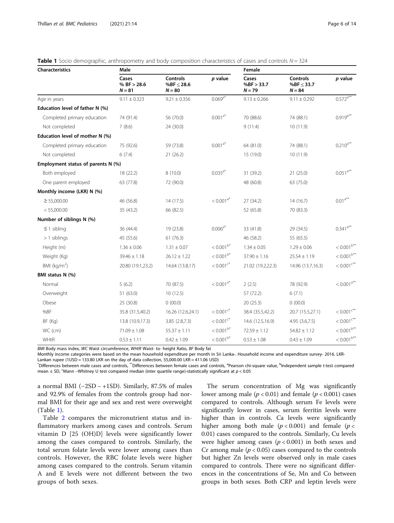| <b>Characteristics</b>             | Male                               |                                                |                         | Female                          |                                          |                                        |
|------------------------------------|------------------------------------|------------------------------------------------|-------------------------|---------------------------------|------------------------------------------|----------------------------------------|
|                                    | Cases<br>% BF $> 28.6$<br>$N = 81$ | <b>Controls</b><br>% $BF \le 28.6$<br>$N = 80$ | p value                 | Cases<br>%BF > 33.7<br>$N = 79$ | Controls<br>% $BF \leq 33.7$<br>$N = 84$ | p value                                |
| Age in years                       | $9.11 \pm 0.323$                   | $9.21 \pm 0.356$                               | $0.069^{a*}$            | $9.13 \pm 0.266$                | $9.11 \pm 0.292$                         | $0.572^{a^{**}}$                       |
| Education level of father N (%)    |                                    |                                                |                         |                                 |                                          |                                        |
| Completed primary education        | 74 (91.4)                          | 56 (70.0)                                      | $0.001^{a*}$            | 70 (88.6)                       | 74 (88.1)                                | $0.919$ <sup>**</sup>                  |
| Not completed                      | 7(8.6)                             | 24 (30.0)                                      |                         | 9(11.4)                         | 10 (11.9)                                |                                        |
| Education level of mother N (%)    |                                    |                                                |                         |                                 |                                          |                                        |
| Completed primary education        | 75 (92.6)                          | 59 (73.8)                                      | $0.001^{a*}$            | 64 (81.0)                       | 74 (88.1)                                | $0.210^{a**}$                          |
| Not completed                      | 6(7.4)                             | 21(26.2)                                       |                         | 15 (19.0)                       | 10 (11.9)                                |                                        |
| Employment status of parents N (%) |                                    |                                                |                         |                                 |                                          |                                        |
| Both employed                      | 18 (22.2)                          | 8(10.0)                                        | $0.035^{a*}$            | 31 (39.2)                       | 21 (25.0)                                | $0.051^{a**}$                          |
| One parent employed                | 63 (77.8)                          | 72 (90.0)                                      |                         | 48 (60.8)                       | 63 (75.0)                                |                                        |
| Monthly income (LKR) N (%)         |                                    |                                                |                         |                                 |                                          |                                        |
| $\geq 55,000.00$                   | 46 (56.8)                          | 14(17.5)                                       | $< 0.001$ <sup>a*</sup> | 27 (34.2)                       | 14(16.7)                                 | $0.01^{a**}$                           |
| < 55,000.00                        | 35 (43.2)                          | 66 (82.5)                                      |                         | 52 (65.8)                       | 70 (83.3)                                |                                        |
| Number of siblings N (%)           |                                    |                                                |                         |                                 |                                          |                                        |
| $\leq$ 1 sibling                   | 36 (44.4)                          | 19 (23.8)                                      | $0.006^{a*}$            | 33 (41.8)                       | 29 (34.5)                                | $0.341$ <sup>a**</sup>                 |
| $>1$ siblings                      | 45 (55.6)                          | 61(76.3)                                       |                         | 46 (58.2)                       | 55 (65.5)                                |                                        |
| Height (m)                         | $1.36 \pm 0.06$                    | $1.31 \pm 0.07$                                | $< 0.001^{b*}$          | $1.34 \pm 0.05$                 | $1.29 \pm 0.06$                          | $< 0.001^{b**}$                        |
| Weight (Kg)                        | $39.46 \pm 1.18$                   | $26.12 \pm 1.22$                               | $< 0.001^{b*}$          | $37.90 \pm 1.16$                | $25.54 \pm 1.19$                         | $< 0.001^{b**}$                        |
| BMI ( $kg/m2$ )                    | 20.80 (19.1,23.2)                  | 14.64 (13.8,17)                                | $< 0.001$ <sup>c*</sup> | 21.02 (19.2,22.3)               | 14.96 (13.7,16.3)                        | $< 0.001$ <sup><math>c***</math></sup> |
| BMI status N (%)                   |                                    |                                                |                         |                                 |                                          |                                        |
| Normal                             | 5(6.2)                             | 70 (87.5)                                      | $< 0.001$ <sup>a*</sup> | 2(2.5)                          | 78 (92.9)                                | $< 0.001^{a**}$                        |
| Overweight                         | 51 (63.0)                          | 10(12.5)                                       |                         | 57 (72.2)                       | 6(7.1)                                   |                                        |
| Obese                              | 25 (30.8)                          | 0(00.0)                                        |                         | 20(25.3)                        | 0(00.0)                                  |                                        |
| %BF                                | 35.8 (31.5,40.2)                   | 16.26 (12.6,24.1)                              | $< 0.001$ <sup>c*</sup> | 38.4 (35.5,42.2)                | 20.7 (15.5,27.1)                         | $< 0.001$ <sup><math>c**</math></sup>  |
| BF (Kg)                            | 13.8 (10.9,17.3)                   | 3.85(2.8,7.3)                                  | $< 0.001$ <sup>c*</sup> | 14.6 (12.5,16.9)                | 4.95 (3.6,7.5)                           | $< 0.001$ <sup><math>c***</math></sup> |
| WC (cm)                            | $71.09 \pm 1.08$                   | $55.37 \pm 1.11$                               | $< 0.001^{b*}$          | $72.59 \pm 1.12$                | $54.82 \pm 1.12$                         | $< 0.001^{b**}$                        |
| WHtR                               | $0.53 \pm 1.11$                    | $0.42 \pm 1.09$                                | $< 0.001^{b*}$          | $0.53 \pm 1.08$                 | $0.43 \pm 1.09$                          | $< 0.001^{b**}$                        |

<span id="page-5-0"></span>

|  |  |  |  |  |  | Table 1 Socio demographic, anthropometry and body composition characteristics of cases and controls $N = 324$ |  |  |  |
|--|--|--|--|--|--|---------------------------------------------------------------------------------------------------------------|--|--|--|
|--|--|--|--|--|--|---------------------------------------------------------------------------------------------------------------|--|--|--|

BMI Body mass index, WC Waist circumference, WHtR Waist- to- height Ratio, BF Body fat

Monthly income categories were based on the mean household expenditure per month in Sri Lanka-. Household income and expenditure survey- 2016. LKR-

Lankan rupee (1USD = 133.80 LKR on the day of data collection, 55,000.00 LKR = 411.06 USD)

\*Differences between male cases and controls, \*\*Differences between female cases and controls, <sup>a</sup>Pearson chi-square value, <sup>b</sup>Independent sample t-test compared mean  $\pm$  SD, <sup>c</sup>Mann –Whitney U test compared median (inter quartile range)-statistically significant at  $p < 0.05$ 

a normal BMI ( $-2SD - +1SD$ ). Similarly, 87.5% of males and 92.9% of females from the controls group had normal BMI for their age and sex and rest were overweight (Table 1).

Table [2](#page-6-0) compares the micronutrient status and inflammatory markers among cases and controls. Serum vitamin D [25 (OH)D] levels were significantly lower among the cases compared to controls. Similarly, the total serum folate levels were lower among cases than controls. However, the RBC folate levels were higher among cases compared to the controls. Serum vitamin A and E levels were not different between the two groups of both sexes.

The serum concentration of Mg was significantly lower among male ( $p < 0.01$ ) and female ( $p < 0.001$ ) cases compared to controls. Although serum Fe levels were significantly lower in cases, serum ferritin levels were higher than in controls. Ca levels were significantly higher among both male  $(p < 0.001)$  and female  $(p <$ 0.01) cases compared to the controls. Similarly, Cu levels were higher among cases  $(p < 0.001)$  in both sexes and Cr among male ( $p < 0.05$ ) cases compared to the controls but higher Zn levels were observed only in male cases compared to controls. There were no significant differences in the concentrations of Se, Mn and Co between groups in both sexes. Both CRP and leptin levels were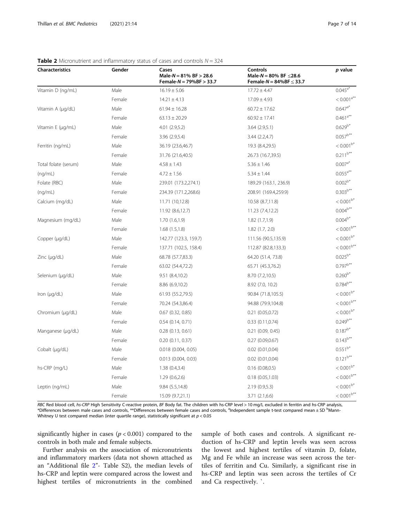| <b>Characteristics</b> | Gender | Cases<br>Male- $N = 81\%$ BF $> 28.6$<br>Female- $N = 79%BF > 33.7$ | Controls<br>Male-N = 80% BF $\leq$ 28.6<br>Female- $N = 84%$ BF $\leq 33.7$ | p value                  |
|------------------------|--------|---------------------------------------------------------------------|-----------------------------------------------------------------------------|--------------------------|
| Vitamin D (ng/mL)      | Male   | $16.19 \pm 5.06$                                                    | $17.72 \pm 4.47$                                                            | $0.045^{a*}$             |
|                        | Female | $14.21 \pm 4.13$                                                    | $17.09 \pm 4.93$                                                            | $< 0.001$ <sup>a**</sup> |
| Vitamin A (µg/dL)      | Male   | $61.94 \pm 16.28$                                                   | $60.72 \pm 17.62$                                                           | $0.647^{a*}$             |
|                        | Female | $63.13 \pm 20.29$                                                   | $60.92 \pm 17.41$                                                           | $0.461$ <sup>a**</sup>   |
| Vitamin E (µg/mL)      | Male   | 4.01 (2.9,5.2)                                                      | 3.64(2.9,5.1)                                                               | $0.629^{b*}$             |
|                        | Female | 3.96 (2.9,5.4)                                                      | 3.44 (2.2,4.7)                                                              | $0.057^{b**}$            |
| Ferritin (ng/mL)       | Male   | 36.19 (23.6,46.7)                                                   | 19.3 (8.4,29.5)                                                             | $< 0.001^{b*}$           |
|                        | Female | 31.76 (21.6,40.5)                                                   | 26.73 (16.7,39.5)                                                           | $0.211^{b**}$            |
| Total folate (serum)   | Male   | $4.58 \pm 1.43$                                                     | $5.36 \pm 1.46$                                                             | $0.007^{a*}$             |
| (nq/mL)                | Female | $4.72 \pm 1.56$                                                     | $5.34 \pm 1.44$                                                             | $0.055^{a**}$            |
| Folate (RBC)           | Male   | 239.01 (173.2,274.1)                                                | 189.29 (163.1, 236.9)                                                       | $0.002^{b*}$             |
| (nq/mL)                | Female | 234.39 (171.2,268.6)                                                | 208.91 (169.4,259.9)                                                        | $0.303^{b**}$            |
| Calcium (mg/dL)        | Male   | 11.71 (10,12.8)                                                     | 10.58 (8.7,11.8)                                                            | $< 0.001^{b*}$           |
|                        | Female | 11.92 (8.6,12.7)                                                    | 11.23 (7.4,12.2)                                                            | $0.004^{b**}$            |
| Magnesium (mg/dL)      | Male   | 1.70(1.6, 1.9)                                                      | 1.82(1.7,1.9)                                                               | $0.004^{b*}$             |
|                        | Female | 1.68(1.5, 1.8)                                                      | $1.82$ (1.7, 2.0)                                                           | $< 0.001^{b**}$          |
| Copper (µg/dL)         | Male   | 142.77 (123.3, 159.7)                                               | 111.56 (90.5,135.9)                                                         | $< 0.001^{b*}$           |
|                        | Female | 137.71 (102.5, 158.4)                                               | 112.87 (82.8,133.3)                                                         | $< 0.001^{b**}$          |
| Zinc $(\mu q/dL)$      | Male   | 68.78 (57.7,83.3)                                                   | 64.20 (51.4, 73.8)                                                          | $0.025^{b*}$             |
|                        | Female | 63.02 (54.4,72.2)                                                   | 65.71 (45.3,76.2)                                                           | $0.797^{b**}$            |
| Selenium (µg/dL)       | Male   | 9.51 (8.4,10.2)                                                     | 8.70 (7.2,10.5)                                                             | $0.260^{b*}$             |
|                        | Female | 8.86 (6.9,10.2)                                                     | 8.92 (7.0, 10.2)                                                            | $0.784^{b**}$            |
| Iron $(\mu q/dL)$      | Male   | 61.93 (55.2,79.5)                                                   | 90.84 (71.8,105.5)                                                          | $< 0.001^{b*}$           |
|                        | Female | 70.24 (54.3,86.4)                                                   | 94.88 (79.9,104.8)                                                          | $< 0.001^{b**}$          |
| Chromium (µg/dL)       | Male   | $0.67$ $(0.32, 0.85)$                                               | $0.21$ $(0.05, 0.72)$                                                       | $< 0.001^{b*}$           |
|                        | Female | 0.54(0.14, 0.71)                                                    | 0.33(0.11, 0.74)                                                            | $0.249^{b**}$            |
| Manganese (µg/dL)      | Male   | 0.28(0.13, 0.61)                                                    | $0.21$ $(0.09, 0.45)$                                                       | $0.187^{b*}$             |
|                        | Female | 0.20(0.11, 0.37)                                                    | 0.27(0.09, 0.67)                                                            | $0.143^{b**}$            |
| Cobalt (µg/dL)         | Male   | 0.018 (0.004, 0.05)                                                 | $0.02$ $(0.01, 0.04)$                                                       | $0.551^{b*}$             |
|                        | Female | $0.013$ $(0.004, 0.03)$                                             | $0.02$ $(0.01, 0.04)$                                                       | $0.121^{b**}$            |
| hs-CRP (mg/L)          | Male   | 1.38(0.4, 3.4)                                                      | 0.16(0.08,0.5)                                                              | $< 0.001^{b*}$           |
|                        | Female | 1.29(0.6, 2.6)                                                      | 0.18(0.05, 1.03)                                                            | $< 0.001^{b**}$          |
| Leptin (ng/mL)         | Male   | 9.84 (5.5,14.8)                                                     | 2.19(0.9,5.3)                                                               | $< 0.001^{\mathrm{b}*}$  |
|                        | Female | 15.09 (9.7,21.1)                                                    | 3.71 (2.1,6.6)                                                              | $< 0.001^{b**}$          |

# <span id="page-6-0"></span>**Table 2** Micronutrient and inflammatory status of cases and controls  $N = 324$

RBC Red blood cell, hs-CRP High Sensitivity C-reactive protein, BF Body fat. The children with hs-CRP level > 10 mg/L excluded in ferritin and hs-CRP analysis, \*Differences between male cases and controls, \*\*Differences between female cases and controls, <sup>a</sup>ndependent sample t-test compared mean ± SD <sup>b</sup>Mann-Whitney U test compared median (inter quartile range), statistically significant at  $p < 0.05$ 

significantly higher in cases ( $p < 0.001$ ) compared to the controls in both male and female subjects.

Further analysis on the association of micronutrients and inflammatory markers (data not shown attached as an "Additional file [2](#page-11-0)"- Table S2), the median levels of hs-CRP and leptin were compared across the lowest and highest tertiles of micronutrients in the combined

sample of both cases and controls. A significant reduction of hs-CRP and leptin levels was seen across the lowest and highest tertiles of vitamin D, folate, Mg and Fe while an increase was seen across the tertiles of ferritin and Cu. Similarly, a significant rise in hs-CRP and leptin was seen across the tertiles of Cr and Ca respectively. `.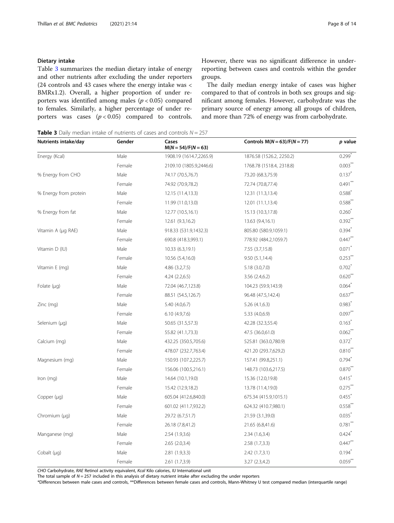# <span id="page-7-0"></span>Dietary intake

Table 3 summarizes the median dietary intake of energy and other nutrients after excluding the under reporters (24 controls and 43 cases where the energy intake was < BMRx1.2). Overall, a higher proportion of under reporters was identified among males  $(p < 0.05)$  compared to females. Similarly, a higher percentage of under reporters was cases  $(p < 0.05)$  compared to controls. However, there was no significant difference in underreporting between cases and controls within the gender groups.

The daily median energy intake of cases was higher compared to that of controls in both sex groups and significant among females. However, carbohydrate was the primary source of energy among all groups of children, and more than 72% of energy was from carbohydrate.

**Table 3** Daily median intake of nutrients of cases and controls  $N = 257$ 

| Nutrients intake/day  | Gender | Cases<br>$M(N = 54)/F(N = 63)$ | Controls $M(N = 63)/F(N = 77)$ | p value               |
|-----------------------|--------|--------------------------------|--------------------------------|-----------------------|
| Energy (Kcal)         | Male   | 1908.19 (1614.7,2265.9)        | 1876.58 (1526.2, 2250.2)       | $0.299*$              |
|                       | Female | 2109.10 (1805.9,2446.6)        | 1768.78 (1518.4, 2318.8)       | $0.003$ <sup>**</sup> |
| % Energy from CHO     | Male   | 74.17 (70.5,76.7)              | 73.20 (68.3,75.9)              | $0.137$ <sup>*</sup>  |
|                       | Female | 74.92 (70.9,78.2)              | 72.74 (70.8,77.4)              | $0.491***$            |
| % Energy from protein | Male   | 12.15 (11.4,13.3)              | 12.31 (11.3,13.4)              | $0.588*$              |
|                       | Female | 11.99 (11.0,13.0)              | 12.01 (11.1,13.4)              | $0.588**$             |
| % Energy from fat     | Male   | 12.77 (10.5,16.1)              | 15.13 (10.3,17.8)              | $0.260^{\degree}$     |
|                       | Female | 12.61 (9.3,16.2)               | 13.63 (9.4,16.1)               | $0.392$ **            |
| Vitamin A (µg RAE)    | Male   | 918.33 (531.9,1432.3)          | 805.80 (580.9,1059.1)          | $0.394$ <sup>*</sup>  |
|                       | Female | 690.8 (418.3,993.1)            | 778.92 (484.2,1059.7)          | $0.447**$             |
| Vitamin D (IU)        | Male   | 10.33 (6.3,19.1)               | 7.55 (3.7,15.8)                | $0.071$ <sup>*</sup>  |
|                       | Female | 10.56 (5.4,16.0)               | 9.50(5.1, 14.4)                | $0.253$ <sup>**</sup> |
| Vitamin E (mg)        | Male   | 4.86(3.2,7.5)                  | 5.18 (3.0,7.0)                 | $0.702$ <sup>*</sup>  |
|                       | Female | 4.24(2.2,6.5)                  | 3.56 (2.4,6.2)                 | $0.620**$             |
| Folate $(\mu q)$      | Male   | 72.04 (46.7,123.8)             | 104.23 (59.9,143.9)            | $0.064$ <sup>*</sup>  |
|                       | Female | 88.51 (54.5,126.7)             | 96.48 (47.5,142.4)             | $0.637$ **            |
| Zinc (mg)             | Male   | 5.40 (4.0,6.7)                 | 5.26(4.1,6.3)                  | $0.983$ <sup>*</sup>  |
|                       | Female | 6.10(4.9,7.6)                  | 5.33 (4.0,6.9)                 | $0.097$ **            |
| Selenium (µg)         | Male   | 50.65 (31.5,57.3)              | 42.28 (32.3,55.4)              | $0.163$ <sup>*</sup>  |
|                       | Female | 55.82 (41.1,73.3)              | 47.5 (36.0,61.0)               | $0.062***$            |
| Calcium (mg)          | Male   | 432.25 (350.5,705.6)           | 525.81 (363.0,780.9)           | $0.372$ <sup>*</sup>  |
|                       | Female | 478.07 (232.7,763.4)           | 421.20 (293.7,629.2)           | $0.810**$             |
| Magnesium (mg)        | Male   | 150.93 (107.2,225.7)           | 157.41 (99.8,251.1)            | $0.794$ <sup>*</sup>  |
|                       | Female | 156.06 (100.5,216.1)           | 148.73 (103.6,217.5)           | $0.870$ <sup>**</sup> |
| Iron $(mq)$           | Male   | 14.64 (10.1,19.0)              | 15.36 (12.0,19.8)              | $0.415$ <sup>*</sup>  |
|                       | Female | 15.42 (12.9,18.2)              | 13.78 (11.4,19.0)              | $0.275***$            |
| Copper (µg)           | Male   | 605.04 (412.6,840.0)           | 675.34 (415.9,1015.1)          | $0.455$ <sup>*</sup>  |
|                       | Female | 601.02 (411.7,932.2)           | 624.32 (410.7,980.1)           | $0.558$ **            |
| Chromium (µq)         | Male   | 29.72 (6.7,51.7)               | 21.59 (3.1,39.0)               | $0.035$ <sup>*</sup>  |
|                       | Female | 26.18 (7.8,41.2)               | 21.65 (6.8,41.6)               | $0.781$ **            |
| Manganese (mg)        | Male   | 2.54(1.9,3.6)                  | 2.34(1.6, 3.4)                 | 0.424                 |
|                       | Female | 2.65(2.0,3.4)                  | 2.58(1.7,3.3)                  | $0.447$ <sup>**</sup> |
| Cobalt $(\mu q)$      | Male   | 2.81(1.9,3.3)                  | 2.42(1.7,3.1)                  | $0.194$ <sup>*</sup>  |
|                       | Female | 2.61 (1.7,3.9)                 | 3.27 (2.3,4.2)                 | $0.059**$             |

CHO Carbohydrate, RAE Retinol activity equivalent, Kcal Kilo calories, IU International unit

The total sample of  $N = 257$  included in this analysis of dietary nutrient intake after excluding the under reporters

\*Differences between male cases and controls, \*\*Differences between female cases and controls, Mann-Whitney U test compared median (interquartile range)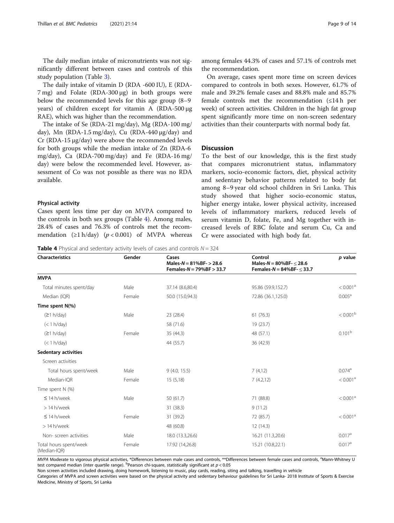The daily median intake of micronutrients was not significantly different between cases and controls of this study population (Table [3\)](#page-7-0).

The daily intake of vitamin D (RDA -600 IU), E (RDA-7 mg) and Folate (RDA-300 μg) in both groups were below the recommended levels for this age group (8–9 years) of children except for vitamin A (RDA-500 μg RAE), which was higher than the recommendation.

The intake of Se (RDA-21 mg/day), Mg (RDA-100 mg/ day), Mn (RDA-1.5 mg/day), Cu (RDA-440 μg/day) and Cr (RDA-15 μg/day) were above the recommended levels for both groups while the median intake of Zn (RDA-6 mg/day), Ca (RDA-700 mg/day) and Fe (RDA-16 mg/ day) were below the recommended level. However, assessment of Co was not possible as there was no RDA available.

#### Physical activity

Cases spent less time per day on MVPA compared to the controls in both sex groups (Table 4). Among males, 28.4% of cases and 76.3% of controls met the recommendation  $(≥1 h/day)$   $(p < 0.001)$  of MVPA whereas among females 44.3% of cases and 57.1% of controls met the recommendation.

On average, cases spent more time on screen devices compared to controls in both sexes. However, 61.7% of male and 39.2% female cases and 88.8% male and 85.7% female controls met the recommendation (≤14 h per week) of screen activities. Children in the high fat group spent significantly more time on non-screen sedentary activities than their counterparts with normal body fat.

# **Discussion**

To the best of our knowledge, this is the first study that compares micronutrient status, inflammatory markers, socio-economic factors, diet, physical activity and sedentary behavior patterns related to body fat among 8–9 year old school children in Sri Lanka. This study showed that higher socio-economic status, higher energy intake, lower physical activity, increased levels of inflammatory markers, reduced levels of serum vitamin D, folate, Fe, and Mg together with increased levels of RBC folate and serum Cu, Ca and Cr were associated with high body fat.

**Table 4** Physical and sedentary activity levels of cases and controls  $N = 324$ 

| <b>Characteristics</b>                 | Gender | Cases<br>Males- $N = 81%BF - 28.6$<br>Females- $N = 79%BF > 33.7$ | Control<br>Males-N = $80\%$ BF- $<$ 28.6<br>Females- $N = 84%BF - \leq 33.7$ | p value              |  |
|----------------------------------------|--------|-------------------------------------------------------------------|------------------------------------------------------------------------------|----------------------|--|
| <b>MVPA</b>                            |        |                                                                   |                                                                              |                      |  |
| Total minutes spent/day                | Male   | 37.14 (8.6,80.4)                                                  | 95.86 (59.9,152.7)                                                           | < 0.001 <sup>a</sup> |  |
| Median (IQR)                           | Female | 50.0 (15.0,94.3)                                                  | 72.86 (36.1,125.0)                                                           | 0.005 <sup>a</sup>   |  |
| Time spent N(%)                        |        |                                                                   |                                                                              |                      |  |
| (≥1 h/day)                             | Male   | 23 (28.4)                                                         | 61(76.3)                                                                     | $< 0.001^{\rm b}$    |  |
| (< 1 h/day)                            |        | 58 (71.6)                                                         | 19 (23.7)                                                                    |                      |  |
| (≥1 h/day)                             | Female | 35(44.3)                                                          | 48 (57.1)                                                                    | 0.101 <sup>b</sup>   |  |
| (< 1 h/day)                            |        | 44 (55.7)                                                         | 36 (42.9)                                                                    |                      |  |
| <b>Sedentary activities</b>            |        |                                                                   |                                                                              |                      |  |
| Screen activities                      |        |                                                                   |                                                                              |                      |  |
| Total hours spent/week                 | Male   | 9(4.0, 15.5)                                                      | 7(4,12)                                                                      | $0.074$ <sup>a</sup> |  |
| Median-IQR                             | Female | 15(5,18)                                                          | 7(4.2,12)                                                                    | < 0.001 <sup>a</sup> |  |
| Time spent N (%)                       |        |                                                                   |                                                                              |                      |  |
| $\leq$ 14 h/week                       | Male   | 50 (61.7)                                                         | 71 (88.8)                                                                    | < 0.001 <sup>a</sup> |  |
| > 14 h/week                            |        | 31 (38.3)                                                         | 9(11.2)                                                                      |                      |  |
| $\leq$ 14 h/week                       | Female | 31 (39.2)                                                         | 72 (85.7)                                                                    | < 0.001 <sup>a</sup> |  |
| > 14 h/week                            |        | 48 (60.8)                                                         | 12(14.3)                                                                     |                      |  |
| Non-screen activities                  | Male   | 18.0 (13.3,26.6)                                                  | 16.21 (11.3,20.6)                                                            | 0.017 <sup>a</sup>   |  |
| Total hours spent/week<br>(Median-IQR) | Female | 17.92 (14,26.8)                                                   | 15.21 (10.8,22.1)                                                            | 0.017 <sup>a</sup>   |  |

MVPA Moderate to vigorous physical activities, \*Differences between male cases and controls, \*\*Differences between female cases and controls, <sup>a</sup>Mann-Whitney U test compared median (inter quartile range). <sup>b</sup>Pearson chi-square, statistically significant at  $p < 0.05$ 

Non screen activities included drawing, doing homework, listening to music, play cards, reading, siting and talking, travelling in vehicle

Categories of MVPA and screen activities were based on the physical activity and sedentary behaviour guidelines for Sri Lanka- 2018 Institute of Sports & Exercise Medicine, Ministry of Sports, Sri Lanka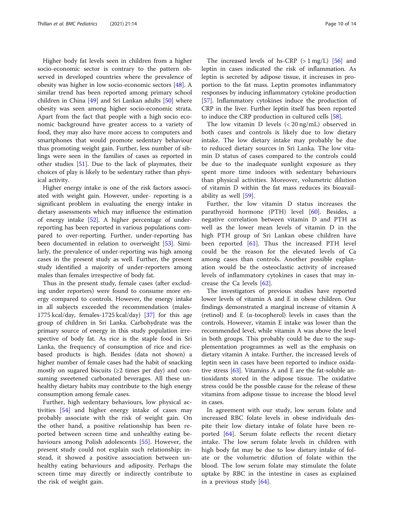Higher body fat levels seen in children from a higher socio-economic sector is contrary to the pattern observed in developed countries where the prevalence of obesity was higher in low socio-economic sectors [\[48](#page-12-0)]. A similar trend has been reported among primary school children in China [[49\]](#page-12-0) and Sri Lankan adults [[50](#page-12-0)] where obesity was seen among higher socio-economic strata. Apart from the fact that people with a high socio economic background have greater access to a variety of food, they may also have more access to computers and smartphones that would promote sedentary behaviour thus promoting weight gain. Further, less number of siblings were seen in the families of cases as reported in other studies [[51\]](#page-13-0). Due to the lack of playmates, their choices of play is likely to be sedentary rather than physical activity.

Higher energy intake is one of the risk factors associated with weight gain. However, under- reporting is a significant problem in evaluating the energy intake in dietary assessments which may influence the estimation of energy intake [[52\]](#page-13-0). A higher percentage of underreporting has been reported in various populations compared to over-reporting. Further, under-reporting has been documented in relation to overweight [\[53\]](#page-13-0). Similarly, the prevalence of under-reporting was high among cases in the present study as well. Further, the present study identified a majority of under-reporters among males than females irrespective of body fat.

Thus in the present study, female cases (after excluding under reporters) were found to consume more energy compared to controls. However, the energy intake in all subjects exceeded the recommendation (males-1775 kcal/day, females-1725 kcal/day) [\[37\]](#page-12-0) for this age group of children in Sri Lanka. Carbohydrate was the primary source of energy in this study population irrespective of body fat. As rice is the staple food in Sri Lanka, the frequency of consumption of rice and ricebased products is high. Besides (data not shown) a higher number of female cases had the habit of snacking mostly on sugared biscuits ( $\geq 2$  times per day) and consuming sweetened carbonated beverages. All these unhealthy dietary habits may contribute to the high energy consumption among female cases.

Further, high sedentary behaviours, low physical activities [\[54](#page-13-0)] and higher energy intake of cases may probably associate with the risk of weight gain. On the other hand, a positive relationship has been reported between screen time and unhealthy eating behaviours among Polish adolescents [[55\]](#page-13-0). However, the present study could not explain such relationship; instead, it showed a positive association between unhealthy eating behaviours and adiposity. Perhaps the screen time may directly or indirectly contribute to the risk of weight gain.

The increased levels of hs-CRP  $(> 1 \text{ mg/L})$  [\[56](#page-13-0)] and leptin in cases indicated the risk of inflammation. As leptin is secreted by adipose tissue, it increases in proportion to the fat mass. Leptin promotes inflammatory responses by inducing inflammatory cytokine production [[57\]](#page-13-0). Inflammatory cytokines induce the production of CRP in the liver. Further leptin itself has been reported to induce the CRP production in cultured cells [\[58\]](#page-13-0).

The low vitamin D levels (< 20 ng/mL) observed in both cases and controls is likely due to low dietary intake. The low dietary intake may probably be due to reduced dietary sources in Sri Lanka. The low vitamin D status of cases compared to the controls could be due to the inadequate sunlight exposure as they spent more time indoors with sedentary behaviours than physical activities. Moreover, volumetric dilution of vitamin D within the fat mass reduces its bioavailability as well [\[59](#page-13-0)].

Further, the low vitamin D status increases the parathyroid hormone (PTH) level [\[60](#page-13-0)]. Besides, a negative correlation between vitamin D and PTH as well as the lower mean levels of vitamin D in the high PTH group of Sri Lankan obese children have been reported [[61\]](#page-13-0). Thus the increased PTH level could be the reason for the elevated levels of Ca among cases than controls. Another possible explanation would be the osteoclastic activity of increased levels of inflammatory cytokines in cases that may increase the Ca levels [\[62](#page-13-0)].

The investigators of previous studies have reported lower levels of vitamin A and E in obese children. Our findings demonstrated a marginal increase of vitamin A (retinol) and E (α-tocopherol) levels in cases than the controls. However, vitamin E intake was lower than the recommended level, while vitamin A was above the level in both groups. This probably could be due to the supplementation programmes as well as the emphasis on dietary vitamin A intake. Further, the increased levels of leptin seen in cases have been reported to induce oxidative stress [[63](#page-13-0)]. Vitamins A and E are the fat-soluble antioxidants stored in the adipose tissue. The oxidative stress could be the possible cause for the release of these vitamins from adipose tissue to increase the blood level in cases.

In agreement with our study, low serum folate and increased RBC folate levels in obese individuals despite their low dietary intake of folate have been reported [[64](#page-13-0)]. Serum folate reflects the recent dietary intake. The low serum folate levels in children with high body fat may be due to low dietary intake of folate or the volumetric dilution of folate within the blood. The low serum folate may stimulate the folate uptake by RBC in the intestine in cases as explained in a previous study [[64\]](#page-13-0).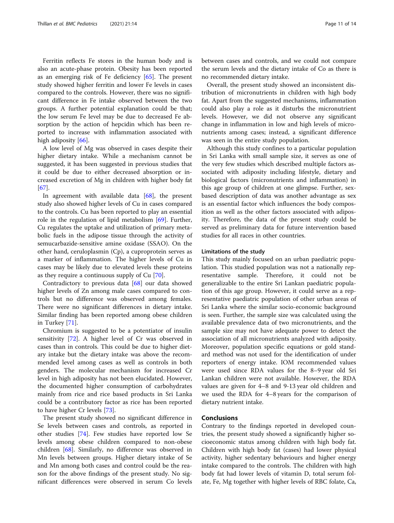Ferritin reflects Fe stores in the human body and is also an acute-phase protein. Obesity has been reported as an emerging risk of Fe deficiency [\[65](#page-13-0)]. The present study showed higher ferritin and lower Fe levels in cases compared to the controls. However, there was no significant difference in Fe intake observed between the two groups. A further potential explanation could be that; the low serum Fe level may be due to decreased Fe absorption by the action of hepcidin which has been reported to increase with inflammation associated with high adiposity [\[66\]](#page-13-0).

A low level of Mg was observed in cases despite their higher dietary intake. While a mechanism cannot be suggested, it has been suggested in previous studies that it could be due to either decreased absorption or increased excretion of Mg in children with higher body fat [[67\]](#page-13-0).

In agreement with available data  $[68]$ , the present study also showed higher levels of Cu in cases compared to the controls. Cu has been reported to play an essential role in the regulation of lipid metabolism [[69](#page-13-0)]. Further, Cu regulates the uptake and utilization of primary metabolic fuels in the adipose tissue through the activity of semucarbazide-sensitive amine oxidase (SSAO). On the other hand, ceruloplasmin (Cp), a cuproprotein serves as a marker of inflammation. The higher levels of Cu in cases may be likely due to elevated levels these proteins as they require a continuous supply of Cu [[70](#page-13-0)].

Contradictory to previous data [\[68](#page-13-0)] our data showed higher levels of Zn among male cases compared to controls but no difference was observed among females. There were no significant differences in dietary intake. Similar finding has been reported among obese children in Turkey [[71\]](#page-13-0).

Chromium is suggested to be a potentiator of insulin sensitivity [\[72](#page-13-0)]. A higher level of Cr was observed in cases than in controls. This could be due to higher dietary intake but the dietary intake was above the recommended level among cases as well as controls in both genders. The molecular mechanism for increased Cr level in high adiposity has not been elucidated. However, the documented higher consumption of carbohydrates mainly from rice and rice based products in Sri Lanka could be a contributory factor as rice has been reported to have higher Cr levels [[73\]](#page-13-0).

The present study showed no significant difference in Se levels between cases and controls, as reported in other studies [[74\]](#page-13-0). Few studies have reported low Se levels among obese children compared to non-obese children [\[68](#page-13-0)]. Similarly, no difference was observed in Mn levels between groups. Higher dietary intake of Se and Mn among both cases and control could be the reason for the above findings of the present study. No significant differences were observed in serum Co levels between cases and controls, and we could not compare the serum levels and the dietary intake of Co as there is no recommended dietary intake.

Overall, the present study showed an inconsistent distribution of micronutrients in children with high body fat. Apart from the suggested mechanisms, inflammation could also play a role as it disturbs the micronutrient levels. However, we did not observe any significant change in inflammation in low and high levels of micronutrients among cases; instead, a significant difference was seen in the entire study population.

Although this study confines to a particular population in Sri Lanka with small sample size, it serves as one of the very few studies which described multiple factors associated with adiposity including lifestyle, dietary and biological factors (micronutrients and inflammation) in this age group of children at one glimpse. Further, sexbased description of data was another advantage as sex is an essential factor which influences the body composition as well as the other factors associated with adiposity. Therefore, the data of the present study could be served as preliminary data for future intervention based studies for all races in other countries.

# Limitations of the study

This study mainly focused on an urban paediatric population. This studied population was not a nationally representative sample. Therefore, it could not be generalizable to the entire Sri Lankan paediatric population of this age group. However, it could serve as a representative paediatric population of other urban areas of Sri Lanka where the similar socio-economic background is seen. Further, the sample size was calculated using the available prevalence data of two micronutrients, and the sample size may not have adequate power to detect the association of all micronutrients analyzed with adiposity. Moreover, population specific equations or gold standard method was not used for the identification of under reporters of energy intake. IOM recommended values were used since RDA values for the 8–9 year old Sri Lankan children were not available. However, the RDA values are given for 4–8 and 9-13 year old children and we used the RDA for 4–8 years for the comparison of dietary nutrient intake.

# Conclusions

Contrary to the findings reported in developed countries, the present study showed a significantly higher socioeconomic status among children with high body fat. Children with high body fat (cases) had lower physical activity, higher sedentary behaviours and higher energy intake compared to the controls. The children with high body fat had lower levels of vitamin D, total serum folate, Fe, Mg together with higher levels of RBC folate, Ca,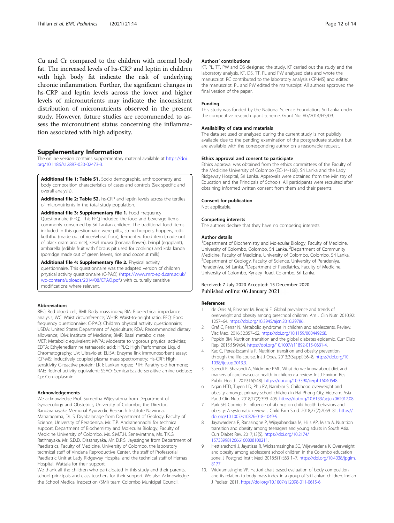<span id="page-11-0"></span>Cu and Cr compared to the children with normal body fat. The increased levels of hs-CRP and leptin in children with high body fat indicate the risk of underlying chronic inflammation. Further, the significant changes in hs-CRP and leptin levels across the lower and higher levels of micronutrients may indicate the inconsistent distribution of micronutrients observed in the present study. However, future studies are recommended to assess the micronutrient status concerning the inflammation associated with high adiposity.

# Supplementary Information

The online version contains supplementary material available at [https://doi.](https://doi.org/10.1186/s12887-020-02473-3) [org/10.1186/s12887-020-02473-3.](https://doi.org/10.1186/s12887-020-02473-3)

Additional file 1: Table S1. Socio demographic, anthropometry and body composition characteristics of cases and controls (Sex specific and overall analysis).

Additional file 2: Table S2. hs-CRP and leptin levels across the tertiles of micronutrients in the total study population.

Additional file 3: Supplementary file 1. Food Frequency Questionnaire (FFQ). This FFQ included the food and beverage items commonly consumed by Sri Lankan children. The traditional food items included in this questionnaire were pittu, string hoppers, hoppers, rotti, koththu (made out of rice/wheat flour), fermented food item (made out of black gram and rice), kesel muwa (banana flower), brinjal (eggplant), ambarella (edible fruit with fibrous pit used for cooking) and kola kanda (porridge made out of green leaves, rice and coconut milk)

Additional file 4: Supplementary file 2. Physical activity questionnaire. This questionnaire was the adapted version of children physical activity questionnaire (C-PAQ) ([https://www.mrc-epid.cam.ac.uk/](https://www.mrc-epid.cam.ac.uk/wp-content/uploads/2014/08/CPAQ.pdf) [wp-content/uploads/2014/08/CPAQ.pdf](https://www.mrc-epid.cam.ac.uk/wp-content/uploads/2014/08/CPAQ.pdf).) with culturally sensitive modifications where relevant.

#### Abbreviations

RBC: Red blood cell; BMI: Body mass index; BIA: Bioelectrical impedance analysis; WC: Waist circumference; WHtR: Waist-to-height ratio; FFQ: Food frequency questionnaire; C-PAQ: Children physical activity questionnaire; USDA: United States Department of Agriculture; RDA: Recommended dietary allowance; IOM: Institute of Medicine; BMR: Basal metabolic rate; MET: Metabolic equivalent; MVPA: Moderate to vigorous physical activities; EDTA: Ethylenediamine tetraacetic acid; HPLC: High Performance Liquid Chromatography; UV: Ultraviolet; ELISA: Enzyme link immunosorbent assay; ICP-MS: Inductively coupled plasma mass spectrometry; Hs-CRP: High sensitivity C-reactive protein; LKR: Lankan rupee; PTH: Parathyroid hormone; RAE: Retinol activity equivalent; SSAO: Semicarbazide-sensitive amine oxidase; Cp: Ceruloplasmin

#### Acknowledgements

We acknowledge Prof. Sumedha Wijeyrathna from Department of Gynaecology and Obstetrics, University of Colombo, the Director, Bandaranayake Memorial Ayurvedic Research Institute Nawinna, Maharagama, Dr. S. Diyabalanage from Department of Geology, Faculty of Science, University of Peradeniya, Mr. T.P. Andrahennadhi for technical support, Department of Biochemistry and Molecular Biology, Faculty of Medicine University of Colombo, Ms. S.M.T.H. Senevirathna, Ms. T.K.G. Rathnayaka, Mr. S.D.D. Dissanayaka, Mr. D.R.S. Jayasinghe from Department of Paediatrics, Faculty of Medicine, University of Colombo, the laboratory technical staff of Vindana Reproductive Center, the staff of Professorial Paediatric Unit at Lady Ridgeway Hospital and the technical staff of Hemas Hospital, Wattala for their support.

We thank all the children who participated in this study and their parents, school principals and class teachers for their support. We also Acknowledge the School Medical Inspection (SMI) team Colombo Municipal Council.

### Authors' contributions

KT, PL, TT, PW and DS designed the study. KT carried out the study and the laboratory analysis, KT, DS, TT, PL and PW analyzed data and wrote the manuscript. RC contributed to the laboratory analysis (ICP-MS) and edited the manuscript. PL and PW edited the manuscript. All authors approved the final version of the paper.

#### Funding

This study was funded by the National Science Foundation, Sri Lanka under the competitive research grant scheme. Grant No: RG/2014/HS/09.

#### Availability of data and materials

The data set used or analyzed during the current study is not publicly available due to the pending examination of the postgraduate student but are available with the corresponding author on a reasonable request.

#### Ethics approval and consent to participate

Ethics approval was obtained from the ethics committees of the Faculty of the Medicine University of Colombo (EC-14-168), Sri Lanka and the Lady Ridgeway Hospital, Sri Lanka. Approvals were obtained from the Ministry of Education and the Principals of Schools. All participants were recruited after obtaining informed written consent from them and their parents.

#### Consent for publication

Not applicable.

#### Competing interests

The authors declare that they have no competing interests.

#### Author details

<sup>1</sup>Department of Biochemistry and Molecular Biology, Faculty of Medicine University of Colombo, Colombo, Sri Lanka. <sup>2</sup> Department of Community Medicine, Faculty of Medicine, University of Colombo, Colombo, Sri Lanka. <sup>3</sup>Department of Geology, Faculty of Science, University of Peradeniya, Peradeniya, Sri Lanka. <sup>4</sup>Department of Paediatrics, Faculty of Medicine University of Colombo, Kynsey Road, Colombo, Sri Lanka.

# Received: 7 July 2020 Accepted: 15 December 2020 Published online: 06 January 2021

#### References

- 1. de Onis M, Blossner M, Borghi E. Global prevalence and trends of overweight and obesity among preschool children. Am J Clin Nutr. 2010;92: 1257–64. [https://doi.org/10.3945/ajcn.2010.29786.](https://doi.org/10.3945/ajcn.2010.29786)
- 2. Graf C, Ferrar N. Metabolic syndrome in children and adolescents. Review. Visc Med. 2016;32:357–62. <https://doi.org/10.1159/000449268>.
- 3. Popkin BM. Nutrition transition and the global diabetes epidemic. Curr Diab Rep. 2015;15(9):64. <https://doi.org/10.1007/s11892-015-0631-4>.
- 4. Kac G, Perez-Escamilla R. Nutrition transition and obesity prevention through the life-course. Int J Obes. 2013;3(Suppl):S6–8. [https://doi.org/10.](https://doi.org/10.1038/ijosup.2013.3) [1038/ijosup.2013.3](https://doi.org/10.1038/ijosup.2013.3).
- 5. Saeedi P, Shavandi A, Skidmore PML. What do we know about diet and markers of cardiovascular health in children: a review. Int J Environ Res Public Health. 2019;16(548). <https://doi.org/10.3390/ijerph16040548>.
- 6. Ngan HTD, Tuyen LD, Phu PV, Nambiar S. Childhood overweight and obesity amongst primary school children in Hai Phong City, Vietnam. Asia Pac J Clin Nutr. 2018;27(2):399–405. [https://doi.org/10.6133/apjcn.062017.08.](https://doi.org/10.6133/apjcn.062017.08)
- 7. Park SH, Cormier E. Influence of siblings on child health behaviors and obesity: A systematic review. J Child Fam Stud. 2018;27(7):2069–81. [https://](https://doi.org/10.1007/s10826-018-1049-9) [doi.org/10.1007/s10826-018-1049-9.](https://doi.org/10.1007/s10826-018-1049-9)
- 8. Jayawardena R, Ranasinghe P, Wijayabandara M, Hills AP, Misra A. Nutrition transition and obesity among teenagers and young adults in South Asia. Curr Diabet Rev. 2017;13(5). [https://doi.org/10.2174/](https://doi.org/10.2174/1573399812666160808100211) [1573399812666160808100211](https://doi.org/10.2174/1573399812666160808100211).
- 9. Hettiarachchi J, Jayatissa R, Wickramasinghe SC, Wijewardena K. Overweight and obesity among adolescent school children in the Colombo education zone. J Postgrad Instit Med. 2018;5(1):E63 1–7. [https://doi.org/10.4038/jpgim.](https://doi.org/10.4038/jpgim.8177) [8177](https://doi.org/10.4038/jpgim.8177).
- 10. Wickramasinghe VP. Hattori chart based evaluation of body composition and its relation to body mass index in a group of Sri Lankan children. Indian J Pediatr. 2011. [https://doi.org/10.1007/s12098-011-0615-6.](https://doi.org/10.1007/s12098-011-0615-6)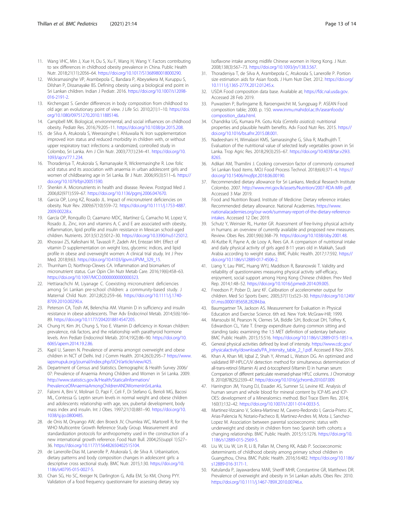- <span id="page-12-0"></span>11. Wang VHC, Min J, Xue H, Du S, Xu F, Wang H, Wang Y. Factors contributing to sex differences in childhood obesity prevalence in China. Public Health Nutr. 2018;21(11):2056–64. <https://doi.org/10.1017/S1368980018000290>.
- 12. Wickramasinghe VP, Arambepola C, Bandara P, Abeysekera M, Kuruppu S, Dilshan P, Dissanayake BS. Defining obesity using a biological end point in Sri Lankan children. Indian J Pediatr. 2016. [https://doi.org/10.1007/s12098-](https://doi.org/10.1007/s12098-016-2191-2) [016-2191-2](https://doi.org/10.1007/s12098-016-2191-2).
- 13. Kirchengast S. Gender differences in body composition from childhood to old age: an evolutionary point of view. J Life Sci. 2010;2(1):1–10. [https://doi.](https://doi.org/10.1080/09751270.2010.11885146) [org/10.1080/09751270.2010.11885146.](https://doi.org/10.1080/09751270.2010.11885146)
- 14. Campbell MK. Biological, environmental, and social influences on childhood obesity. Pediatr Res. 2016;79:205–11. <https://doi.org/10.1038/pr.2015.208>.
- 15. de Silva A, Atukorala S, Weerasinghe I, Ahluwalia N. Iron supplementation improved iron status and reduced morbidity in children with, or without upper respiratory tract infections: a randomized, controlled study in Colombo, Sri Lanka. Am J Clin Nutr. 2003;77(1):234–41. [https://doi.org/10.](https://doi.org/10.1093/ajcn/77.1.234) [1093/ajcn/77.1.234.](https://doi.org/10.1093/ajcn/77.1.234)
- 16. Thoradeniya T, Atukorala S, Ramanayake R, Wickremasinghe R. Low folic acid status and its association with anaemia in urban adolescent girls and women of childbearing age in Sri Lanka. Br J Nutr. 2006;95(3):511–6. [https://](https://doi.org/10.1079/bjn20051590) [doi.org/10.1079/bjn20051590.](https://doi.org/10.1079/bjn20051590)
- 17. Shenkin A. Micronutrients in health and disease. Review. Postgrad Med J. 2006;82(971):559–67. <https://doi.org/10.1136/pgmj.2006.047670>.
- 18. Garcia OP, Long KZ, Rosado JL. Impact of micronutrient deficiencies on obesity. Nutr Rev. 2009;67(10):559–72. [https://doi.org/10.1111/j.1753-4887.](https://doi.org/10.1111/j.1753-4887.2009.00228.x) [2009.00228.x.](https://doi.org/10.1111/j.1753-4887.2009.00228.x)
- 19. García OP, Ronquillo D, Caamano MDC, Martínez G, Camacho M, Lopez V, Rosado JL. Zinc, iron and vitamins A, C and E are associated with obesity, inflammation, lipid profile and insulin resistance in Mexican school-aged children. Nutrients. 2013;5(12):5012–30. <https://doi.org/10.3390/nu5125012>.
- 20. Khosravi ZS, Kafeshani M, Tavasoli P, Zadeh AH, Entezari MH. Effect of vitamin D supplementation on weight loss, glycemic indices, and lipid profile in obese and overweight women: A clinical trial study. Int J Prev Med. 2018;9:63. [https://doi.org/10.4103/ijpvm.IJPVM\\_329\\_15](https://doi.org/10.4103/ijpvm.IJPVM_329_15).
- 21. Thurnham D, Northrop-Clewes CA. Inflammation and biomarkers of micronutrient status. Curr Opin Clin Nutr Metab Care. 2016;19(6):458–63. [https://doi.org/10.1097/MCO.0000000000000323.](https://doi.org/10.1097/MCO.0000000000000323)
- 22. Hettiarachchi M, Liyanage C. Coexisting micronutrient deficiencies among Sri Lankan pre-school children: a community-based study. J Maternal Child Nutr. 2012;8(2):259–66. [https://doi.org/10.1111/j.1740-](https://doi.org/10.1111/j.1740-8709.2010.00290.x) [8709.2010.00290.x](https://doi.org/10.1111/j.1740-8709.2010.00290.x).
- 23. Peterson CA, Tosh AK, Belenchia AM. Vitamin D in sufficiency and insulin resistance in obese adolescents. Ther Adv Endocrinol Metab. 2014;5(6):166– 89. [https://doi.org/10.1177/2042018814547205.](https://doi.org/10.1177/2042018814547205)
- 24. Chung H, Kim JH, Chung S, Yoo E. Vitamin D deficiency in Korean children: prevalence, risk factors, and the relationship with parathyroid hormone levels. Ann Pediatr Endocrinol Metab. 2014;19(2):86–90. [https://doi.org/10.](https://doi.org/10.6065/apem.2014.19.2.86) [6065/apem.2014.19.2.86.](https://doi.org/10.6065/apem.2014.19.2.86)
- 25. Kapil U, Sareen N. Prevalence of anemia amongst overweight and obese children in NCT of Delhi. Ind J Comm Health. 2014;26(3):295–7 [https://www.](https://www.iapsmupuk.org/journal/index.php/IJCH/article/view/425) [iapsmupuk.org/journal/index.php/IJCH/article/view/425.](https://www.iapsmupuk.org/journal/index.php/IJCH/article/view/425)
- 26. Department of Census and Statistics. Demographic & Health Survey 2006/ 07: Prevalence of Anaemia Among Children and Women in Sri Lanka. 2009. [http://www.statistics.gov.lk/Health/StaticalInformation/](http://www.statistics.gov.lk/Health/StaticalInformation/PrevalenceOfAnaemiaAmongChildrenANDWomenInSriLanka) [PrevalenceOfAnaemiaAmongChildrenANDWomenInSriLanka](http://www.statistics.gov.lk/Health/StaticalInformation/PrevalenceOfAnaemiaAmongChildrenANDWomenInSriLanka).
- 27. Falorni A, Bini V, Molinari D, Papi F, Celi F, Di Stefano G, Berioli MG, Bacosi ML, Contessa G. Leptin serum levels in normal weight and obese children and adolescents: relationship with age, sex, pubertal development, body mass index and insulin. Int J Obes. 1997;21(10):881–90. [https://doi.org/10.](https://doi.org/10.1038/sj.ijo.0800485) [1038/sj.ijo.0800485.](https://doi.org/10.1038/sj.ijo.0800485)
- 28. de Onis M, Onyango AW, den Broeck JV, Chumlea WC, Martorell R, for the WHO Multicentre Growth Reference Study Group. Measurement and standardization protocols for anthropometry used in the construction of a new international growth reference. Food Nutr Bull. 2004;25(suppl 1):S27– 36. <https://doi.org/10.1177/15648265040251S104>.
- 29. de Lanerolle-Dias M, Lanerolle P, Atukorala S, de Silva A. Urbanisation, dietary patterns and body composition changes in adolescent girls: a descriptive cross sectional study. BMC Nutr. 2015;1:30. [https://doi.org/10.](https://doi.org/10.1186/s40795-015-0027-5) [1186/s40795-015-0027-5.](https://doi.org/10.1186/s40795-015-0027-5)
- 30. Chan SG, Ho SC, Kreiger N, Darlington G, Adla EM, So KM, Chong PYY. Validation of a food frequency questionnaire for assessing dietary soy

Isoflavone intake among midlife Chinese women in Hong Kong. J Nutr. 2008;138(3):567–73. <https://doi.org/10.1093/jn/138.3.567>.

- 31. Thoradeniya T, de Silva A, Arambepola C, Atukorala S, Lanerolle P. Portion size estimation aids for Asian foods. J Hum Nutr Diet. 2012. [https://doi.org/](https://doi.org/10.1111/j.1365-277X.2012.01245.x) [10.1111/j.1365-277X.2012.01245.x.](https://doi.org/10.1111/j.1365-277X.2012.01245.x)
- 32. USDA Food composition data base. Available at; [https://fdc.nal.usda.gov.](https://fdc.nal.usda.gov) Accessed 28 Feb 2019.
- 33. Puwastien P, Burlingame B, Raroengwichit M, Sungpuag P. ASEAN Food composition table; 2000. p. 150. [www.inmu.mahidol.ac.th/aseanfoods/](http://www.inmu.mahidol.ac.th/aseanfoods/composition_data.html) [composition\\_data.html.](http://www.inmu.mahidol.ac.th/aseanfoods/composition_data.html)
- 34. Chandrika UG, Kumara PA. Gotu Kola (Centella asiatica): nutritional properties and plausible health benefits. Adv Food Nutr Res. 2015. [https://](https://doi.org/10.1016/bs.afnr.2015.08.001) [doi.org/10.1016/bs.afnr.2015.08.001](https://doi.org/10.1016/bs.afnr.2015.08.001).
- 35. Nadeeshani H, Wimalasiri KMS, Samarasinghe G, Silva R, Madhujith T. Evaluation of the nutritional value of selected leafy vegetables grown in Sri Lanka. Trop Agric Res. 2018;29(3):255–67. [https://doi.org/10.4038/tar.v29i3.](https://doi.org/10.4038/tar.v29i3.8265) [8265](https://doi.org/10.4038/tar.v29i3.8265).
- 36. Adikari AM, Thamilini J. Cooking conversion factor of commonly consumed Sri Lankan food items. MOJ Food Process Technol. 2018;6(4):371–4. [https://](https://doi.org/10.15406/mojfpt.2018.06.00190) [doi.org/10.15406/mojfpt.2018.06.00190.](https://doi.org/10.15406/mojfpt.2018.06.00190)
- 37. Recommended dietary allowance for Sri Lankans. Medical Research Institute Colombo. 2007. [http://www.mri.gov.lk/assets/Nutrition/2007-RDA-MRI-.pdf.](http://www.mri.gov.lk/assets/Nutrition/2007-RDA-MRI-.pdf) Accessed 3 Mar 2019.
- 38. Food and Nutrition Board. Institute of Medicine: Dietary reference intakes Recommended dietary allowance. National Academies. [https://www.](https://www.nationalacademies.org/our-work/summary-report-of-the-dietary-reference-intakes) [nationalacademies.org/our-work/summary-report-of-the-dietary-reference](https://www.nationalacademies.org/our-work/summary-report-of-the-dietary-reference-intakes)[intakes](https://www.nationalacademies.org/our-work/summary-report-of-the-dietary-reference-intakes). Accessed 12 Dec 2019.
- 39. Schutz Y, Weinsier RL, Hunter GR. Assessment of free-living physical activity in humans: an overview of currently available and proposed new measures. Review. Obes Res. 2001;9(6):368–79. <https://doi.org/10.1038/oby.2001.48>.
- 40. Al-Kutbe R, Payne A, de Looy A, Rees GA. A comparison of nutritional intake and daily physical activity of girls aged 8-11 years old in Makkah, Saudi Arabia according to weight status. BMC Public Health. 2017;17:592. [https://](https://doi.org/10.1186/s12889-017-4506-2) [doi.org/10.1186/s12889-017-4506-2.](https://doi.org/10.1186/s12889-017-4506-2)
- 41. Liang Y, Lau PWC, Huang WYJ, Maddison R, Baranowski T. Validity and reliability of questionnaires measuring physical activity self-efficacy, enjoyment, social support among Hong Kong Chinese children. Prev Med Rep. 2014;1:48–52. <https://doi.org/10.1016/j.pmedr.2014.09.005>.
- 42. Freedson P, Pober D, Janz KF. Calibration of accelerometer output for children. Med Sci Sports Exerc. 2005;37(11):s523–30. [https://doi.org/10.1249/](https://doi.org/10.1249/01.mss.0000185658.28284.ba) [01.mss.0000185658.28284.ba.](https://doi.org/10.1249/01.mss.0000185658.28284.ba)
- 43. Baumgartner TA, Jackson AS. Measurement for Evaluation in Physical Education and Exercise Science. 6th ed. New York: McGraw-Hill; 1999.
- 44. Mansoubi M, Pearson N, Clemes SA, Biddle SJH, Bodicoat DH, Tolfrey K, Edwardson CL, Yate T. Energy expenditure during common sitting and standing tasks: examining the 1.5 MET definition of sedentary behavior. BMC Public Health. 2015;15:516. [https://doi.org/10.1186/s12889-015-1851-x.](https://doi.org/10.1186/s12889-015-1851-x)
- 45. General physical activities defined by level of intensity. [https://www.cdc.gov/](https://www.cdc.gov/physicalactivity/downloads/PA_Intensity_table_2_1.pdf) [physicalactivity/downloads/PA\\_Intensity\\_table\\_2\\_1.pdf](https://www.cdc.gov/physicalactivity/downloads/PA_Intensity_table_2_1.pdf). Accessed 8 Nov 2016.
- 46. Khan A, Khan MI, Iqbal Z, Shah Y, Ahmad L, Watson DG. An optimized and validated RP-HPLC/UV detection method for simultaneous determination of all-trans-retinol (Vitamin A) and ά-tocopherol (Vitamin E) in human serum: Comparison of different particulate reversed-phase HPLC columns. J Chromatogr B. 2010;878(25):2339–47. <https://doi.org/10.1016/j.jchromb.2010.07.009>.
- 47. Harrington JM, Young DJ, Essader AS, Sumner SJ, Levine KE. Analysis of human serum and whole blood for mineral content by ICP-MS and ICP-OES: development of a Mineralomics method. Biol Trace Elem Res. 2014; 160(1):132–42. [https://doi.org/10.1007/s12011-014-0033-5.](https://doi.org/10.1007/s12011-014-0033-5)
- 48. Martinez-Vizcaino V, Solera-Martinez M, Cavero-Redondo I, Garcia-Prieto JC, Arias-Palencia N, Notario-Pacheco B, Martinez-Andres M, Mota J, Sanchez-Lopez M. Association between parental socioeconomic status with underweight and obesity in children from two Spanish birth cohorts: a changing relationship. BMC Public Health. 2015;15:1276. [https://doi.org/10.](https://doi.org/10.1186/s12889-015-2569-5) [1186/s12889-015-2569-5](https://doi.org/10.1186/s12889-015-2569-5).
- 49. Liu W, Liu W, Lin R, Li B, Pallan M, Cheng KK, Adab P. Socioeconomic determinants of childhood obesity among primary school children in Guangzhou, China. BMC Public Health. 2016;16:482. [https://doi.org/10.1186/](https://doi.org/10.1186/s12889-016-3171-1) [s12889-016-3171-1.](https://doi.org/10.1186/s12889-016-3171-1)
- 50. Katulanda P, Jayawardena MAR, Sheriff MHR, Constantine GR, Matthews DR. Prevalence of overweight and obesity in Sri Lankan adults. Obes Rev. 2010. [https://doi.org/10.1111/j.1467-789X.2010.00746.x.](https://doi.org/10.1111/j.1467-789X.2010.00746.x)